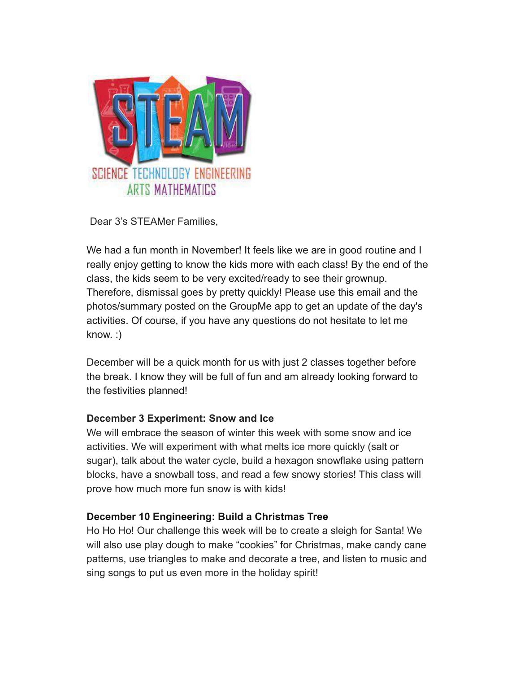

Dear 3's STEAMer Families,

We had a fun month in November! It feels like we are in good routine and I really enjoy getting to know the kids more with each class! By the end of the class, the kids seem to be very excited/ready to see their grownup. Therefore, dismissal goes by pretty quickly! Please use this email and the photos/summary posted on the GroupMe app to get an update of the day's activities. Of course, if you have any questions do not hesitate to let me know. :)

December will be a quick month for us with just 2 classes together before the break. I know they will be full of fun and am already looking forward to the festivities planned!

## **December 3 Experiment: Snow and Ice**

We will embrace the season of winter this week with some snow and ice activities. We will experiment with what melts ice more quickly (salt or sugar), talk about the water cycle, build a hexagon snowflake using pattern blocks, have a snowball toss, and read a few snowy stories! This class will prove how much more fun snow is with kids!

## **December 10 Engineering: Build a Christmas Tree**

Ho Ho Ho! Our challenge this week will be to create a sleigh for Santa! We will also use play dough to make "cookies" for Christmas, make candy cane patterns, use triangles to make and decorate a tree, and listen to music and sing songs to put us even more in the holiday spirit!